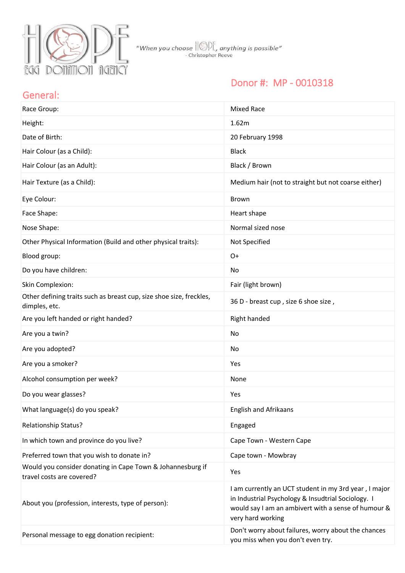

### Donor #: MP - 0010318

#### General:

| Race Group:                                                                             | <b>Mixed Race</b>                                                                                                                                                                       |
|-----------------------------------------------------------------------------------------|-----------------------------------------------------------------------------------------------------------------------------------------------------------------------------------------|
| Height:                                                                                 | 1.62m                                                                                                                                                                                   |
| Date of Birth:                                                                          | 20 February 1998                                                                                                                                                                        |
| Hair Colour (as a Child):                                                               | <b>Black</b>                                                                                                                                                                            |
| Hair Colour (as an Adult):                                                              | Black / Brown                                                                                                                                                                           |
| Hair Texture (as a Child):                                                              | Medium hair (not to straight but not coarse either)                                                                                                                                     |
| Eye Colour:                                                                             | <b>Brown</b>                                                                                                                                                                            |
| Face Shape:                                                                             | Heart shape                                                                                                                                                                             |
| Nose Shape:                                                                             | Normal sized nose                                                                                                                                                                       |
| Other Physical Information (Build and other physical traits):                           | Not Specified                                                                                                                                                                           |
| Blood group:                                                                            | $O+$                                                                                                                                                                                    |
| Do you have children:                                                                   | No                                                                                                                                                                                      |
| Skin Complexion:                                                                        | Fair (light brown)                                                                                                                                                                      |
| Other defining traits such as breast cup, size shoe size, freckles,<br>dimples, etc.    | 36 D - breast cup, size 6 shoe size,                                                                                                                                                    |
| Are you left handed or right handed?                                                    | Right handed                                                                                                                                                                            |
| Are you a twin?                                                                         | No                                                                                                                                                                                      |
| Are you adopted?                                                                        | No                                                                                                                                                                                      |
| Are you a smoker?                                                                       | Yes                                                                                                                                                                                     |
| Alcohol consumption per week?                                                           | None                                                                                                                                                                                    |
| Do you wear glasses?                                                                    | Yes                                                                                                                                                                                     |
| What language(s) do you speak?                                                          | English and Afrikaans                                                                                                                                                                   |
| <b>Relationship Status?</b>                                                             | Engaged                                                                                                                                                                                 |
| In which town and province do you live?                                                 | Cape Town - Western Cape                                                                                                                                                                |
| Preferred town that you wish to donate in?                                              | Cape town - Mowbray                                                                                                                                                                     |
| Would you consider donating in Cape Town & Johannesburg if<br>travel costs are covered? | Yes                                                                                                                                                                                     |
| About you (profession, interests, type of person):                                      | I am currently an UCT student in my 3rd year, I major<br>in Industrial Psychology & Insudtrial Sociology. I<br>would say I am an ambivert with a sense of humour &<br>very hard working |
| Personal message to egg donation recipient:                                             | Don't worry about failures, worry about the chances<br>you miss when you don't even try.                                                                                                |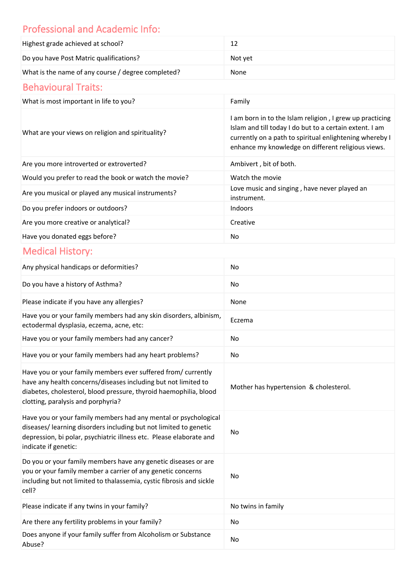# Professional and Academic Info:

| Highest grade achieved at school?                  |         |
|----------------------------------------------------|---------|
| Do you have Post Matric qualifications?            | Not vet |
| What is the name of any course / degree completed? | None    |

## Behavioural Traits:

| What is most important in life to you?                | Family                                                                                                                                                                                                                               |
|-------------------------------------------------------|--------------------------------------------------------------------------------------------------------------------------------------------------------------------------------------------------------------------------------------|
| What are your views on religion and spirituality?     | I am born in to the Islam religion, I grew up practicing<br>Islam and till today I do but to a certain extent. I am<br>currently on a path to spiritual enlightening whereby I<br>enhance my knowledge on different religious views. |
| Are you more introverted or extroverted?              | Ambivert, bit of both.                                                                                                                                                                                                               |
| Would you prefer to read the book or watch the movie? | Watch the movie                                                                                                                                                                                                                      |
| Are you musical or played any musical instruments?    | Love music and singing, have never played an<br>instrument.                                                                                                                                                                          |
| Do you prefer indoors or outdoors?                    | <b>Indoors</b>                                                                                                                                                                                                                       |
| Are you more creative or analytical?                  | Creative                                                                                                                                                                                                                             |
| Have you donated eggs before?                         | No.                                                                                                                                                                                                                                  |

# Medical History:

| Any physical handicaps or deformities?                                                                                                                                                                                                     | No                                     |
|--------------------------------------------------------------------------------------------------------------------------------------------------------------------------------------------------------------------------------------------|----------------------------------------|
| Do you have a history of Asthma?                                                                                                                                                                                                           | No                                     |
| Please indicate if you have any allergies?                                                                                                                                                                                                 | None                                   |
| Have you or your family members had any skin disorders, albinism,<br>ectodermal dysplasia, eczema, acne, etc:                                                                                                                              | Eczema                                 |
| Have you or your family members had any cancer?                                                                                                                                                                                            | No                                     |
| Have you or your family members had any heart problems?                                                                                                                                                                                    | No                                     |
| Have you or your family members ever suffered from/ currently<br>have any health concerns/diseases including but not limited to<br>diabetes, cholesterol, blood pressure, thyroid haemophilia, blood<br>clotting, paralysis and porphyria? | Mother has hypertension & cholesterol. |
| Have you or your family members had any mental or psychological<br>diseases/ learning disorders including but not limited to genetic<br>depression, bi polar, psychiatric illness etc. Please elaborate and<br>indicate if genetic:        | <b>No</b>                              |
| Do you or your family members have any genetic diseases or are<br>you or your family member a carrier of any genetic concerns<br>including but not limited to thalassemia, cystic fibrosis and sickle<br>cell?                             | No                                     |
| Please indicate if any twins in your family?                                                                                                                                                                                               | No twins in family                     |
| Are there any fertility problems in your family?                                                                                                                                                                                           | No                                     |
| Does anyone if your family suffer from Alcoholism or Substance<br>Abuse?                                                                                                                                                                   | No                                     |